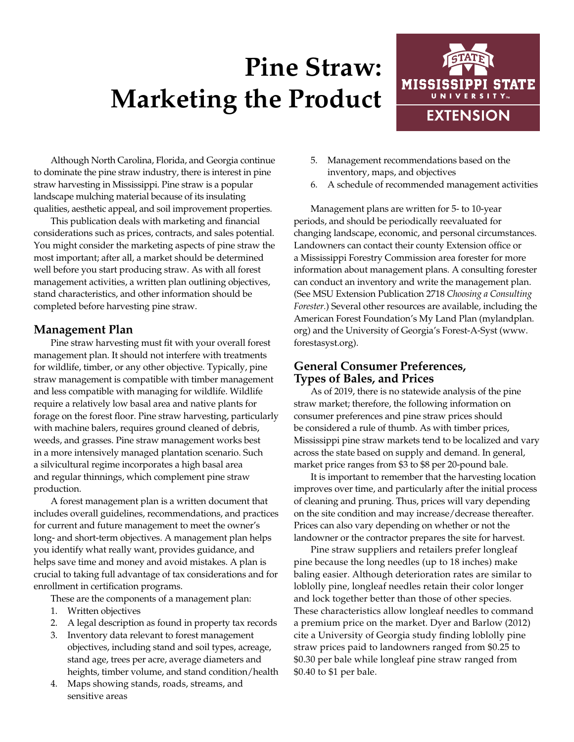# **Pine Straw: Marketing the Product**



Although North Carolina, Florida, and Georgia continue to dominate the pine straw industry, there is interest in pine straw harvesting in Mississippi. Pine straw is a popular landscape mulching material because of its insulating qualities, aesthetic appeal, and soil improvement properties.

This publication deals with marketing and financial considerations such as prices, contracts, and sales potential. You might consider the marketing aspects of pine straw the most important; after all, a market should be determined well before you start producing straw. As with all forest management activities, a written plan outlining objectives, stand characteristics, and other information should be completed before harvesting pine straw.

### **Management Plan**

Pine straw harvesting must fit with your overall forest management plan. It should not interfere with treatments for wildlife, timber, or any other objective. Typically, pine straw management is compatible with timber management and less compatible with managing for wildlife. Wildlife require a relatively low basal area and native plants for forage on the forest floor. Pine straw harvesting, particularly with machine balers, requires ground cleaned of debris, weeds, and grasses. Pine straw management works best in a more intensively managed plantation scenario. Such a silvicultural regime incorporates a high basal area and regular thinnings, which complement pine straw production.

A forest management plan is a written document that includes overall guidelines, recommendations, and practices for current and future management to meet the owner's long- and short-term objectives. A management plan helps you identify what really want, provides guidance, and helps save time and money and avoid mistakes. A plan is crucial to taking full advantage of tax considerations and for enrollment in certification programs.

These are the components of a management plan:

- 1. Written objectives
- 2. A legal description as found in property tax records
- 3. Inventory data relevant to forest management objectives, including stand and soil types, acreage, stand age, trees per acre, average diameters and heights, timber volume, and stand condition/health
- 4. Maps showing stands, roads, streams, and sensitive areas
- 5. Management recommendations based on the inventory, maps, and objectives
- 6. A schedule of recommended management activities

Management plans are written for 5- to 10-year periods, and should be periodically reevaluated for changing landscape, economic, and personal circumstances. Landowners can contact their county Extension office or a Mississippi Forestry Commission area forester for more information about management plans. A consulting forester can conduct an inventory and write the management plan. (See MSU Extension Publication 2718 *Choosing a Consulting Forester.*) Several other resources are available, including the American Forest Foundation's My Land Plan (mylandplan. org) and the University of Georgia's Forest-A-Syst (www. forestasyst.org).

# **General Consumer Preferences, Types of Bales, and Prices**

As of 2019, there is no statewide analysis of the pine straw market; therefore, the following information on consumer preferences and pine straw prices should be considered a rule of thumb. As with timber prices, Mississippi pine straw markets tend to be localized and vary across the state based on supply and demand. In general, market price ranges from \$3 to \$8 per 20-pound bale.

It is important to remember that the harvesting location improves over time, and particularly after the initial process of cleaning and pruning. Thus, prices will vary depending on the site condition and may increase/decrease thereafter. Prices can also vary depending on whether or not the landowner or the contractor prepares the site for harvest.

Pine straw suppliers and retailers prefer longleaf pine because the long needles (up to 18 inches) make baling easier. Although deterioration rates are similar to loblolly pine, longleaf needles retain their color longer and lock together better than those of other species. These characteristics allow longleaf needles to command a premium price on the market. Dyer and Barlow (2012) cite a University of Georgia study finding loblolly pine straw prices paid to landowners ranged from \$0.25 to \$0.30 per bale while longleaf pine straw ranged from \$0.40 to \$1 per bale.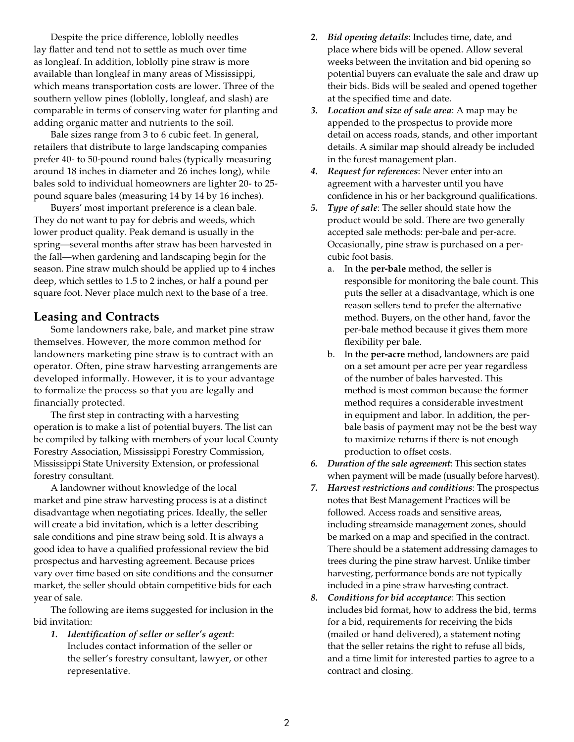Despite the price difference, loblolly needles lay flatter and tend not to settle as much over time as longleaf. In addition, loblolly pine straw is more available than longleaf in many areas of Mississippi, which means transportation costs are lower. Three of the southern yellow pines (loblolly, longleaf, and slash) are comparable in terms of conserving water for planting and adding organic matter and nutrients to the soil.

Bale sizes range from 3 to 6 cubic feet. In general, retailers that distribute to large landscaping companies prefer 40- to 50-pound round bales (typically measuring around 18 inches in diameter and 26 inches long), while bales sold to individual homeowners are lighter 20- to 25 pound square bales (measuring 14 by 14 by 16 inches).

Buyers' most important preference is a clean bale. They do not want to pay for debris and weeds, which lower product quality. Peak demand is usually in the spring—several months after straw has been harvested in the fall—when gardening and landscaping begin for the season. Pine straw mulch should be applied up to 4 inches deep, which settles to 1.5 to 2 inches, or half a pound per square foot. Never place mulch next to the base of a tree.

# **Leasing and Contracts**

Some landowners rake, bale, and market pine straw themselves. However, the more common method for landowners marketing pine straw is to contract with an operator. Often, pine straw harvesting arrangements are developed informally. However, it is to your advantage to formalize the process so that you are legally and financially protected.

The first step in contracting with a harvesting operation is to make a list of potential buyers. The list can be compiled by talking with members of your local County Forestry Association, Mississippi Forestry Commission, Mississippi State University Extension, or professional forestry consultant.

A landowner without knowledge of the local market and pine straw harvesting process is at a distinct disadvantage when negotiating prices. Ideally, the seller will create a bid invitation, which is a letter describing sale conditions and pine straw being sold. It is always a good idea to have a qualified professional review the bid prospectus and harvesting agreement. Because prices vary over time based on site conditions and the consumer market, the seller should obtain competitive bids for each year of sale.

The following are items suggested for inclusion in the bid invitation:

*1. Identification of seller or seller's agent*: Includes contact information of the seller or the seller's forestry consultant, lawyer, or other representative.

- *2. Bid opening details*: Includes time, date, and place where bids will be opened. Allow several weeks between the invitation and bid opening so potential buyers can evaluate the sale and draw up their bids. Bids will be sealed and opened together at the specified time and date.
- *3. Location and size of sale area*: A map may be appended to the prospectus to provide more detail on access roads, stands, and other important details. A similar map should already be included in the forest management plan.
- *4. Request for references*: Never enter into an agreement with a harvester until you have confidence in his or her background qualifications.
- *5. Type of sale*: The seller should state how the product would be sold. There are two generally accepted sale methods: per-bale and per-acre. Occasionally, pine straw is purchased on a percubic foot basis.
	- a. In the **per-bale** method, the seller is responsible for monitoring the bale count. This puts the seller at a disadvantage, which is one reason sellers tend to prefer the alternative method. Buyers, on the other hand, favor the per-bale method because it gives them more flexibility per bale.
	- b. In the **per-acre** method, landowners are paid on a set amount per acre per year regardless of the number of bales harvested. This method is most common because the former method requires a considerable investment in equipment and labor. In addition, the perbale basis of payment may not be the best way to maximize returns if there is not enough production to offset costs.
- *6. Duration of the sale agreement*: This section states when payment will be made (usually before harvest).
- *7. Harvest restrictions and conditions*: The prospectus notes that Best Management Practices will be followed. Access roads and sensitive areas, including streamside management zones, should be marked on a map and specified in the contract. There should be a statement addressing damages to trees during the pine straw harvest. Unlike timber harvesting, performance bonds are not typically included in a pine straw harvesting contract.
- *8. Conditions for bid acceptance*: This section includes bid format, how to address the bid, terms for a bid, requirements for receiving the bids (mailed or hand delivered), a statement noting that the seller retains the right to refuse all bids, and a time limit for interested parties to agree to a contract and closing.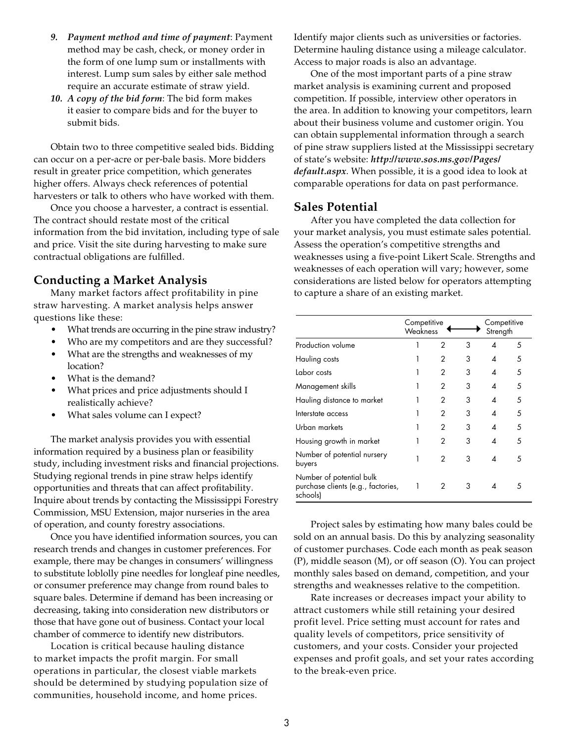- *9. Payment method and time of payment*: Payment method may be cash, check, or money order in the form of one lump sum or installments with interest. Lump sum sales by either sale method require an accurate estimate of straw yield.
- *10. A copy of the bid form*: The bid form makes it easier to compare bids and for the buyer to submit bids.

Obtain two to three competitive sealed bids. Bidding can occur on a per-acre or per-bale basis. More bidders result in greater price competition, which generates higher offers. Always check references of potential harvesters or talk to others who have worked with them.

Once you choose a harvester, a contract is essential. The contract should restate most of the critical information from the bid invitation, including type of sale and price. Visit the site during harvesting to make sure contractual obligations are fulfilled.

### **Conducting a Market Analysis**

Many market factors affect profitability in pine straw harvesting. A market analysis helps answer questions like these:

- What trends are occurring in the pine straw industry?
- Who are my competitors and are they successful?
- What are the strengths and weaknesses of my location?
- What is the demand?
- What prices and price adjustments should I realistically achieve?
- What sales volume can I expect?

The market analysis provides you with essential information required by a business plan or feasibility study, including investment risks and financial projections. Studying regional trends in pine straw helps identify opportunities and threats that can affect profitability. Inquire about trends by contacting the Mississippi Forestry Commission, MSU Extension, major nurseries in the area of operation, and county forestry associations.

Once you have identified information sources, you can research trends and changes in customer preferences. For example, there may be changes in consumers' willingness to substitute loblolly pine needles for longleaf pine needles, or consumer preference may change from round bales to square bales. Determine if demand has been increasing or decreasing, taking into consideration new distributors or those that have gone out of business. Contact your local chamber of commerce to identify new distributors.

Location is critical because hauling distance to market impacts the profit margin. For small operations in particular, the closest viable markets should be determined by studying population size of communities, household income, and home prices.

Identify major clients such as universities or factories. Determine hauling distance using a mileage calculator. Access to major roads is also an advantage.

One of the most important parts of a pine straw market analysis is examining current and proposed competition. If possible, interview other operators in the area. In addition to knowing your competitors, learn about their business volume and customer origin. You can obtain supplemental information through a search of pine straw suppliers listed at the Mississippi secretary of state's website: *http://www.sos.ms.gov/Pages/ default.aspx*. When possible, it is a good idea to look at comparable operations for data on past performance.

#### **Sales Potential**

After you have completed the data collection for your market analysis, you must estimate sales potential. Assess the operation's competitive strengths and weaknesses using a five-point Likert Scale. Strengths and weaknesses of each operation will vary; however, some considerations are listed below for operators attempting to capture a share of an existing market.

|                                                                            | Competitive<br>Weakness |   |   | Competitive<br>Strength |    |  |
|----------------------------------------------------------------------------|-------------------------|---|---|-------------------------|----|--|
| Production volume                                                          |                         | 2 | 3 | 4                       | 5  |  |
| Hauling costs                                                              |                         | 2 | 3 | 4                       | 5  |  |
| Labor costs                                                                |                         | 2 | 3 | 4                       | 5  |  |
| Management skills                                                          |                         | 2 | 3 | 4                       | 5  |  |
| Hauling distance to market                                                 |                         | 2 | 3 | 4                       | 5  |  |
| Interstate access                                                          |                         | 2 | 3 | 4                       | .5 |  |
| Urban markets                                                              |                         | 2 | 3 | Δ                       | 5  |  |
| Housing growth in market                                                   |                         | 2 | 3 | 4                       | .5 |  |
| Number of potential nursery<br>buyers                                      |                         | 2 | 3 | ◢                       | 5  |  |
| Number of potential bulk<br>purchase clients (e.g., factories,<br>schools) |                         | 2 | 3 | Δ                       | .5 |  |

Project sales by estimating how many bales could be sold on an annual basis. Do this by analyzing seasonality of customer purchases. Code each month as peak season (P), middle season (M), or off season (O). You can project monthly sales based on demand, competition, and your strengths and weaknesses relative to the competition.

Rate increases or decreases impact your ability to attract customers while still retaining your desired profit level. Price setting must account for rates and quality levels of competitors, price sensitivity of customers, and your costs. Consider your projected expenses and profit goals, and set your rates according to the break-even price.